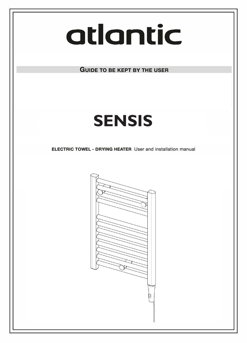# atlantic

**GUIDE TO BE KEPT BY THE USER** 

## **SENSIS**

**ELECTRIC TOWEL - DRYING HEATER** User and installation manual

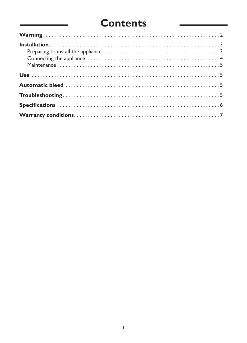## **Contents**

| $\textbf{Troubles} \textbf{hooting} \textcolor{red}{\dotsc} \textcolor{red}{\dotsc} \textcolor{red}{\dotsc} \textcolor{red}{\dotsc} \textcolor{red}{\dotsc} \textcolor{red}{\dotsc} \textcolor{red}{\dotsc} \textcolor{red}{\dotsc} \textcolor{red}{\dotsc} \textcolor{red}{\dotsc} \textcolor{red}{\dotsc} \textcolor{red}{\dotsc} \textcolor{red}{\dotsc} \textcolor{red}{\dotsc} \textcolor{red}{\dotsc} \textcolor{red}{\dotsc} \textcolor{red}{\dotsc} \textcolor{red}{\dotsc} \textcolor{red}{\dotsc} \textcolor{red}{\dotsc} \textcolor{$ |  |
|--------------------------------------------------------------------------------------------------------------------------------------------------------------------------------------------------------------------------------------------------------------------------------------------------------------------------------------------------------------------------------------------------------------------------------------------------------------------------------------------------------------------------------------------------|--|
|                                                                                                                                                                                                                                                                                                                                                                                                                                                                                                                                                  |  |
|                                                                                                                                                                                                                                                                                                                                                                                                                                                                                                                                                  |  |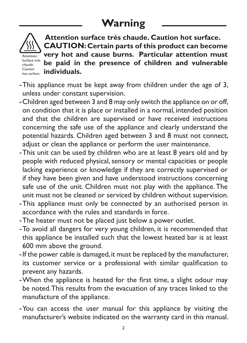## **Warning**



Attention : Surface très chaude

 **Attention surface très chaude. Caution hot surface. CAUTION: Certain parts of this product can become very hot and cause burns. Particular attention must be paid in the presence of children and vulnerable**  <sup>Caution</sup> individuals.

- -This appliance must be kept away from children under the age of 3, unless under constant supervision.
- -Children aged between 3 and 8 may only switch the appliance on or off, on condition that it is place or installed in a normal, intended position and that the children are supervised or have received instructions concerning the safe use of the appliance and clearly understand the potential hazards. Children aged between 3 and 8 must not connect, adjust or clean the appliance or perform the user maintenance.
- -This unit can be used by children who are at least 8 years old and by people with reduced physical, sensory or mental capacities or people lacking experience or knowledge if they are correctly supervised or if they have been given and have understood instructions concerning safe use of the unit. Children must not play with the appliance. The unit must not be cleaned or serviced by children without supervision.
- -This appliance must only be connected by an authorised person in accordance with the rules and standards in force.
- -The heater must not be placed just below a power outlet.
- -To avoid all dangers for very young children, it is recommended that this appliance be installed such that the lowest heated bar is at least 600 mm above the ground.
- -If the power cable is damaged, it must be replaced by the manufacturer, its customer service or a professional with similar qualification to prevent any hazards.
- -When the appliance is heated for the first time, a slight odour may be noted. This results from the evacuation of any traces linked to the manufacture of the appliance.
- -You can access the user manual for this appliance by visiting the manufacturer's website indicated on the warranty card in this manual.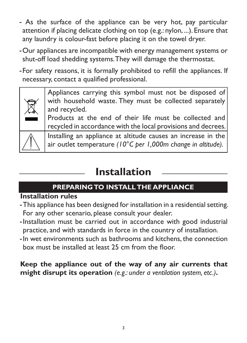- As the surface of the appliance can be very hot, pay particular attention if placing delicate clothing on top (e.g.: nylon, ...). Ensure that any laundry is colour-fast before placing it on the towel dryer.
- -Our appliances are incompatible with energy management systems or shut-off load shedding systems. They will damage the thermostat.
- -For safety reasons, it is formally prohibited to refill the appliances. If necessary, contact a qualified professional.



Appliances carrying this symbol must not be disposed of with household waste. They must be collected separately and recycled.

Products at the end of their life must be collected and recycled in accordance with the local provisions and decrees.

Installing an appliance at altitude causes an increase in the air outlet temperature *(10°C per 1,000m change in altitude).*

## **Installation**

#### **PREPARING TO INSTALL THE APPLIANCE**

#### **Installation rules**

- -This appliance has been designed for installation in a residential setting. For any other scenario, please consult your dealer.
- -Installation must be carried out in accordance with good industrial practice, and with standards in force in the country of installation.
- -In wet environments such as bathrooms and kitchens, the connection box must be installed at least 25 cm from the floor.

**Keep the appliance out of the way of any air currents that might disrupt its operation** *(e.g.: under a ventilation system, etc.)***.**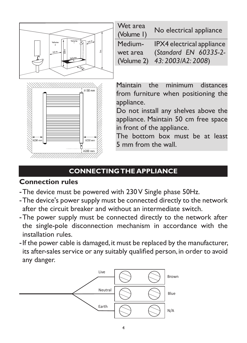

| Wet area<br>(Volume I) | No electrical appliance   |
|------------------------|---------------------------|
| Medium-                | IPX4 electrical appliance |
| wet area               | (Standard EN 60335-2-     |
| (Volume 2)             | 43: 2003/A2: 2008)        |



Maintain the minimum distances from furniture when positioning the appliance.

Do not install any shelves above the appliance. Maintain 50 cm free space in front of the appliance.

The bottom box must be at least 5 mm from the wall.

#### **CONNECTING THE APPLIANCE**

#### **Connection rules**

- -The device must be powered with 230 V Single phase 50Hz.
- -The device's power supply must be connected directly to the network after the circuit breaker and without an intermediate switch.
- -The power supply must be connected directly to the network after the single-pole disconnection mechanism in accordance with the installation rules.
- -If the power cable is damaged, it must be replaced by the manufacturer, its after-sales service or any suitably qualified person, in order to avoid any danger.

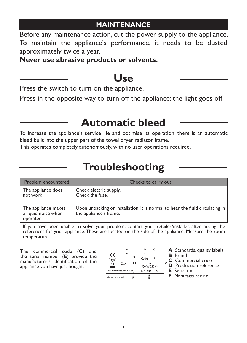#### **MAINTENANCE**

Before any maintenance action, cut the power supply to the appliance. To maintain the appliance's performance, it needs to be dusted approximately twice a year.

**Never use abrasive products or solvents.**

### **Use**

Press the switch to turn on the appliance.

Press in the opposite way to turn off the appliance: the light goes off.

## **Automatic bleed**

To increase the appliance's service life and optimise its operation, there is an automatic bleed built into the upper part of the towel dryer radiator frame.

This operates completely autonomously, with no user operations required.

## **Troubleshooting**

| Problem encountered                                     | Checks to carry out                                                                                     |  |  |  |
|---------------------------------------------------------|---------------------------------------------------------------------------------------------------------|--|--|--|
| The appliance does<br>not work                          | Check electric supply.<br>Check the fuse.                                                               |  |  |  |
| The appliance makes<br>a liquid noise when<br>operated. | Upon unpacking or installation, it is normal to hear the fluid circulating in<br>the appliance's frame. |  |  |  |

If you have been unable to solve your problem, contact your retailer/installer, after noting the references for your appliance. These are located on the side of the appliance. Measure the room temperature.

The commercial code (**C**) and the serial number (**E**) provide the manufacturer's identification of the appliance you have just bought.



**A** Standards, quality labels

- **C** Commercial code
- **D** Production reference
- **E** Serial no.
- **F** Manufacturer no.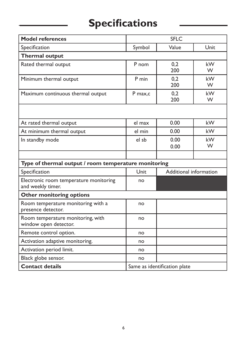## **Specifications**

| <b>Model references</b>                                     | <b>SFLC</b>                  |                        |          |  |  |  |  |
|-------------------------------------------------------------|------------------------------|------------------------|----------|--|--|--|--|
| Specification                                               | Symbol                       | Value                  | Unit     |  |  |  |  |
| <b>Thermal output</b>                                       |                              |                        |          |  |  |  |  |
| Rated thermal output                                        | P nom                        | 0,2<br>200             | kW<br>W. |  |  |  |  |
| Minimum thermal output                                      | P min                        | 0,2<br>200             | kW<br>W  |  |  |  |  |
| Maximum continuous thermal output                           | P max,c                      | 0,2<br>200             | kW<br>W  |  |  |  |  |
|                                                             |                              |                        |          |  |  |  |  |
| At rated thermal output                                     | el max                       | 0.00                   | kW       |  |  |  |  |
| At minimum thermal output                                   | el min                       | 0.00                   | kW       |  |  |  |  |
| In standby mode                                             | el sh                        | 0.00<br>0.00           | kW<br>W  |  |  |  |  |
|                                                             |                              |                        |          |  |  |  |  |
| Type of thermal output / room temperature monitoring        |                              |                        |          |  |  |  |  |
| Specification                                               | Unit                         | Additional information |          |  |  |  |  |
| Electronic room temperature monitoring<br>and weekly timer. | no                           |                        |          |  |  |  |  |
| <b>Other monitoring options</b>                             |                              |                        |          |  |  |  |  |
| Room temperature monitoring with a<br>presence detector.    | no                           |                        |          |  |  |  |  |
| Room temperature monitoring, with<br>window open detector.  | no                           |                        |          |  |  |  |  |
| Remote control option.                                      | no                           |                        |          |  |  |  |  |
| Activation adaptive monitoring.                             | no                           |                        |          |  |  |  |  |
| Activation period limit.                                    | no                           |                        |          |  |  |  |  |
| Black globe sensor.                                         | no                           |                        |          |  |  |  |  |
| <b>Contact details</b>                                      | Same as identification plate |                        |          |  |  |  |  |